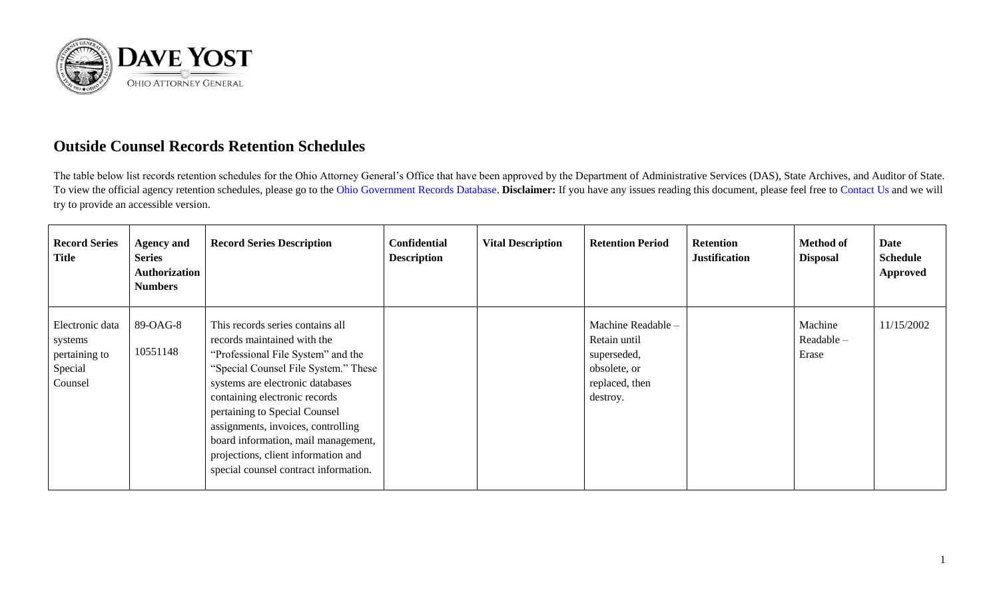

## **Outside Counsel Records Retention Schedules**

The table below list records retention schedules for the Ohio Attorney General's Office that have been approved by the Department of Administrative Services (DAS), State Archives, and Auditor of State. To view the official agency retention schedules, please go to the [Ohio Government Records Database.](https://apps.das.ohio.gov/RIMS/GeneralSchedule) **Disclaimer:** If you have any issues reading this document, please feel free to [Contact Us](https://www.ohioattorneygeneral.gov/About-AG/Contact) and we will try to provide an accessible version.

| <b>Record Series</b><br>Title                                     | <b>Agency and</b><br><b>Series</b><br><b>Authorization</b><br><b>Numbers</b> | <b>Record Series Description</b>                                                                                                                                                                                                                                                                                                                                                                                 | <b>Confidential</b><br><b>Description</b> | <b>Vital Description</b> | <b>Retention Period</b>                                                                         | <b>Retention</b><br><b>Justification</b> | <b>Method of</b><br><b>Disposal</b> | Date<br><b>Schedule</b><br><b>Approved</b> |
|-------------------------------------------------------------------|------------------------------------------------------------------------------|------------------------------------------------------------------------------------------------------------------------------------------------------------------------------------------------------------------------------------------------------------------------------------------------------------------------------------------------------------------------------------------------------------------|-------------------------------------------|--------------------------|-------------------------------------------------------------------------------------------------|------------------------------------------|-------------------------------------|--------------------------------------------|
| Electronic data<br>systems<br>pertaining to<br>Special<br>Counsel | 89-OAG-8<br>10551148                                                         | This records series contains all<br>records maintained with the<br>"Professional File System" and the<br>"Special Counsel File System." These<br>systems are electronic databases<br>containing electronic records<br>pertaining to Special Counsel<br>assignments, invoices, controlling<br>board information, mail management,<br>projections, client information and<br>special counsel contract information. |                                           |                          | Machine Readable -<br>Retain until<br>superseded,<br>obsolete, or<br>replaced, then<br>destroy. |                                          | Machine<br>Readable -<br>Erase      | 11/15/2002                                 |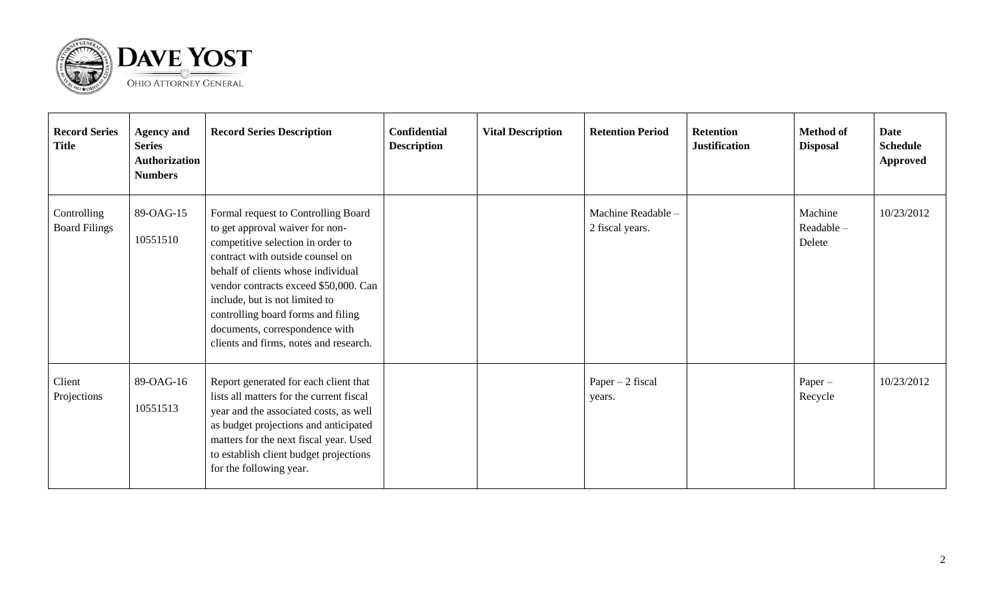

| <b>Record Series</b><br><b>Title</b> | <b>Agency and</b><br><b>Series</b><br>Authorization<br><b>Numbers</b> | <b>Record Series Description</b>                                                                                                                                                                                                                                                                                                                                                   | <b>Confidential</b><br><b>Description</b> | <b>Vital Description</b> | <b>Retention Period</b>               | <b>Retention</b><br><b>Justification</b> | <b>Method of</b><br><b>Disposal</b> | Date<br><b>Schedule</b><br><b>Approved</b> |
|--------------------------------------|-----------------------------------------------------------------------|------------------------------------------------------------------------------------------------------------------------------------------------------------------------------------------------------------------------------------------------------------------------------------------------------------------------------------------------------------------------------------|-------------------------------------------|--------------------------|---------------------------------------|------------------------------------------|-------------------------------------|--------------------------------------------|
| Controlling<br><b>Board Filings</b>  | 89-OAG-15<br>10551510                                                 | Formal request to Controlling Board<br>to get approval waiver for non-<br>competitive selection in order to<br>contract with outside counsel on<br>behalf of clients whose individual<br>vendor contracts exceed \$50,000. Can<br>include, but is not limited to<br>controlling board forms and filing<br>documents, correspondence with<br>clients and firms, notes and research. |                                           |                          | Machine Readable -<br>2 fiscal years. |                                          | Machine<br>Readable-<br>Delete      | 10/23/2012                                 |
| Client<br>Projections                | 89-OAG-16<br>10551513                                                 | Report generated for each client that<br>lists all matters for the current fiscal<br>year and the associated costs, as well<br>as budget projections and anticipated<br>matters for the next fiscal year. Used<br>to establish client budget projections<br>for the following year.                                                                                                |                                           |                          | Paper $-2$ fiscal<br>years.           |                                          | $Paper -$<br>Recycle                | 10/23/2012                                 |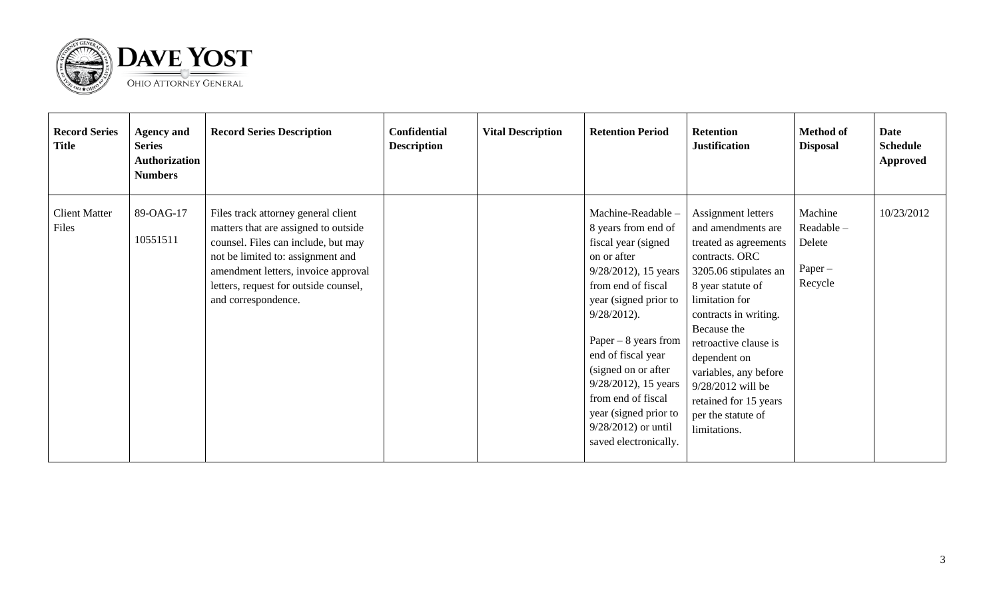

| <b>Record Series</b><br><b>Title</b> | <b>Agency and</b><br><b>Series</b><br>Authorization<br><b>Numbers</b> | <b>Record Series Description</b>                                                                                                                                                                                                                               | <b>Confidential</b><br><b>Description</b> | <b>Vital Description</b> | <b>Retention Period</b>                                                                                                                                                                                                                                                                                                                                                    | <b>Retention</b><br><b>Justification</b>                                                                                                                                                                                                                                                                                                          | <b>Method of</b><br><b>Disposal</b>                    | Date<br><b>Schedule</b><br><b>Approved</b> |
|--------------------------------------|-----------------------------------------------------------------------|----------------------------------------------------------------------------------------------------------------------------------------------------------------------------------------------------------------------------------------------------------------|-------------------------------------------|--------------------------|----------------------------------------------------------------------------------------------------------------------------------------------------------------------------------------------------------------------------------------------------------------------------------------------------------------------------------------------------------------------------|---------------------------------------------------------------------------------------------------------------------------------------------------------------------------------------------------------------------------------------------------------------------------------------------------------------------------------------------------|--------------------------------------------------------|--------------------------------------------|
| <b>Client Matter</b><br>Files        | 89-OAG-17<br>10551511                                                 | Files track attorney general client<br>matters that are assigned to outside<br>counsel. Files can include, but may<br>not be limited to: assignment and<br>amendment letters, invoice approval<br>letters, request for outside counsel,<br>and correspondence. |                                           |                          | Machine-Readable-<br>8 years from end of<br>fiscal year (signed)<br>on or after<br>$9/28/2012$ , 15 years<br>from end of fiscal<br>year (signed prior to<br>$9/28/2012$ ).<br>Paper $-8$ years from<br>end of fiscal year<br>(signed on or after<br>$9/28/2012$ , 15 years<br>from end of fiscal<br>year (signed prior to<br>$9/28/2012$ or until<br>saved electronically. | Assignment letters<br>and amendments are<br>treated as agreements<br>contracts. ORC<br>3205.06 stipulates an<br>8 year statute of<br>limitation for<br>contracts in writing.<br>Because the<br>retroactive clause is<br>dependent on<br>variables, any before<br>9/28/2012 will be<br>retained for 15 years<br>per the statute of<br>limitations. | Machine<br>Readable-<br>Delete<br>$Paper -$<br>Recycle | 10/23/2012                                 |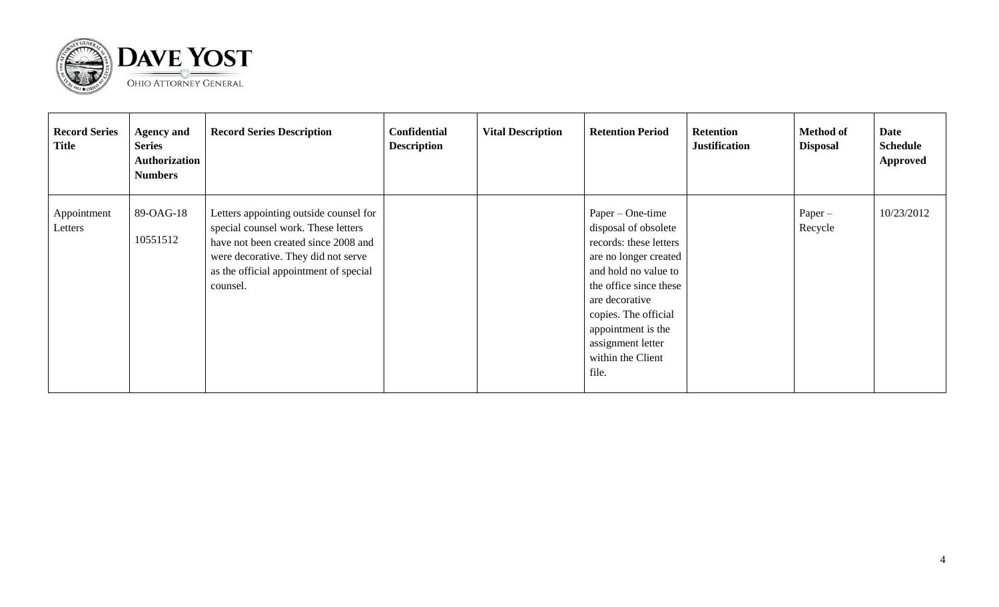

| <b>Record Series</b><br><b>Title</b> | <b>Agency and</b><br><b>Series</b><br><b>Authorization</b><br><b>Numbers</b> | <b>Record Series Description</b>                                                                                                                                                                                   | <b>Confidential</b><br><b>Description</b> | <b>Vital Description</b> | <b>Retention Period</b>                                                                                                                                                                                                                                          | <b>Retention</b><br><b>Justification</b> | <b>Method of</b><br><b>Disposal</b> | Date<br><b>Schedule</b><br><b>Approved</b> |
|--------------------------------------|------------------------------------------------------------------------------|--------------------------------------------------------------------------------------------------------------------------------------------------------------------------------------------------------------------|-------------------------------------------|--------------------------|------------------------------------------------------------------------------------------------------------------------------------------------------------------------------------------------------------------------------------------------------------------|------------------------------------------|-------------------------------------|--------------------------------------------|
| Appointment<br>Letters               | 89-OAG-18<br>10551512                                                        | Letters appointing outside counsel for<br>special counsel work. These letters<br>have not been created since 2008 and<br>were decorative. They did not serve<br>as the official appointment of special<br>counsel. |                                           |                          | Paper – One-time<br>disposal of obsolete<br>records: these letters<br>are no longer created<br>and hold no value to<br>the office since these<br>are decorative<br>copies. The official<br>appointment is the<br>assignment letter<br>within the Client<br>file. |                                          | $Paper -$<br>Recycle                | 10/23/2012                                 |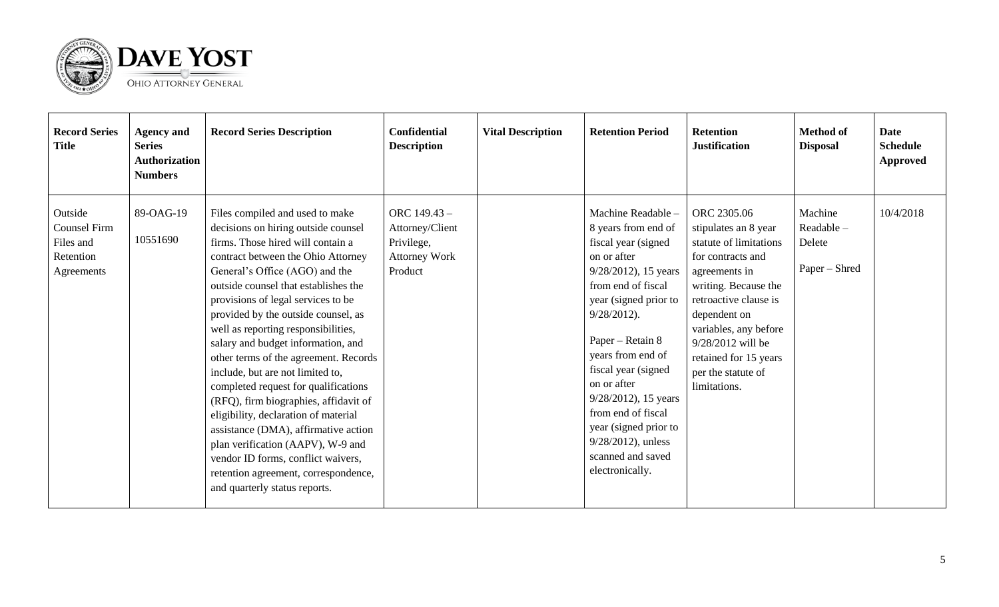

| <b>Record Series</b><br><b>Title</b>                                   | <b>Agency and</b><br><b>Series</b><br><b>Authorization</b><br><b>Numbers</b> | <b>Record Series Description</b>                                                                                                                                                                                                                                                                                                                                                                                                                                                                                                                                                                                                                                                                                                                                                        | <b>Confidential</b><br><b>Description</b>                                        | <b>Vital Description</b> | <b>Retention Period</b>                                                                                                                                                                                                                                                                                                                                                                            | <b>Retention</b><br><b>Justification</b>                                                                                                                                                                                                                                          | <b>Method of</b><br><b>Disposal</b>             | Date<br><b>Schedule</b><br>Approved |
|------------------------------------------------------------------------|------------------------------------------------------------------------------|-----------------------------------------------------------------------------------------------------------------------------------------------------------------------------------------------------------------------------------------------------------------------------------------------------------------------------------------------------------------------------------------------------------------------------------------------------------------------------------------------------------------------------------------------------------------------------------------------------------------------------------------------------------------------------------------------------------------------------------------------------------------------------------------|----------------------------------------------------------------------------------|--------------------------|----------------------------------------------------------------------------------------------------------------------------------------------------------------------------------------------------------------------------------------------------------------------------------------------------------------------------------------------------------------------------------------------------|-----------------------------------------------------------------------------------------------------------------------------------------------------------------------------------------------------------------------------------------------------------------------------------|-------------------------------------------------|-------------------------------------|
| Outside<br><b>Counsel Firm</b><br>Files and<br>Retention<br>Agreements | 89-OAG-19<br>10551690                                                        | Files compiled and used to make<br>decisions on hiring outside counsel<br>firms. Those hired will contain a<br>contract between the Ohio Attorney<br>General's Office (AGO) and the<br>outside counsel that establishes the<br>provisions of legal services to be<br>provided by the outside counsel, as<br>well as reporting responsibilities,<br>salary and budget information, and<br>other terms of the agreement. Records<br>include, but are not limited to,<br>completed request for qualifications<br>(RFQ), firm biographies, affidavit of<br>eligibility, declaration of material<br>assistance (DMA), affirmative action<br>plan verification (AAPV), W-9 and<br>vendor ID forms, conflict waivers,<br>retention agreement, correspondence,<br>and quarterly status reports. | ORC 149.43 -<br>Attorney/Client<br>Privilege,<br><b>Attorney Work</b><br>Product |                          | Machine Readable -<br>8 years from end of<br>fiscal year (signed<br>on or after<br>$9/28/2012$ , 15 years<br>from end of fiscal<br>year (signed prior to<br>$9/28/2012$ ).<br>Paper – Retain 8<br>years from end of<br>fiscal year (signed<br>on or after<br>$9/28/2012$ , 15 years<br>from end of fiscal<br>year (signed prior to<br>$9/28/2012$ , unless<br>scanned and saved<br>electronically. | ORC 2305.06<br>stipulates an 8 year<br>statute of limitations<br>for contracts and<br>agreements in<br>writing. Because the<br>retroactive clause is<br>dependent on<br>variables, any before<br>9/28/2012 will be<br>retained for 15 years<br>per the statute of<br>limitations. | Machine<br>Readable-<br>Delete<br>Paper – Shred | 10/4/2018                           |